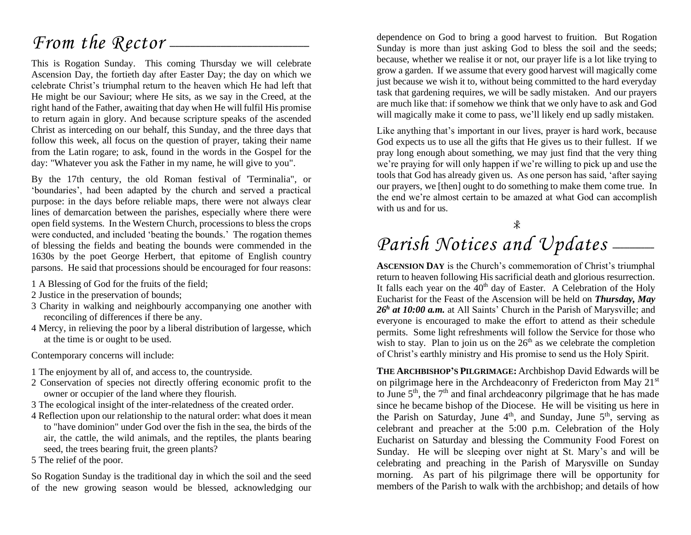### *From the Rector* –

This is Rogation Sunday. This coming Thursday we will celebrate Ascension Day, the fortieth day after Easter Day; the day on which we celebrate Christ's triumphal return to the heaven which He had left that He might be our Saviour; where He sits, as we say in the Creed, at the right hand of the Father, awaiting that day when He will fulfil His promise to return again in glory. And because scripture speaks of the ascended Christ as interceding on our behalf, this Sunday, and the three days that follow this week, all focus on the question of prayer, taking their name from the Latin rogare; to ask, found in the words in the Gospel for the day: "Whatever you ask the Father in my name, he will give to you".

By the 17th century, the old Roman festival of 'Terminalia", or 'boundaries', had been adapted by the church and served a practical purpose: in the days before reliable maps, there were not always clear lines of demarcation between the parishes, especially where there were open field systems. In the Western Church, processions to bless the crops were conducted, and included 'beating the bounds.' The rogation themes of blessing the fields and beating the bounds were commended in the 1630s by the poet George Herbert, that epitome of English country parsons. He said that processions should be encouraged for four reasons:

- 1 A Blessing of God for the fruits of the field;
- 2 Justice in the preservation of bounds;
- 3 Charity in walking and neighbourly accompanying one another with reconciling of differences if there be any.
- 4 Mercy, in relieving the poor by a liberal distribution of largesse, which at the time is or ought to be used.

Contemporary concerns will include:

- 1 The enjoyment by all of, and access to, the countryside.
- 2 Conservation of species not directly offering economic profit to the owner or occupier of the land where they flourish.
- 3 The ecological insight of the inter-relatedness of the created order.
- 4 Reflection upon our relationship to the natural order: what does it mean to "have dominion" under God over the fish in the sea, the birds of the air, the cattle, the wild animals, and the reptiles, the plants bearing seed, the trees bearing fruit, the green plants?
- 5 The relief of the poor.

So Rogation Sunday is the traditional day in which the soil and the seed of the new growing season would be blessed, acknowledging our

dependence on God to bring a good harvest to fruition. But Rogation Sunday is more than just asking God to bless the soil and the seeds; because, whether we realise it or not, our prayer life is a lot like trying to grow a garden. If we assume that every good harvest will magically come just because we wish it to, without being committed to the hard everyday task that gardening requires, we will be sadly mistaken. And our prayers are much like that: if somehow we think that we only have to ask and God will magically make it come to pass, we'll likely end up sadly mistaken.

Like anything that's important in our lives, prayer is hard work, because God expects us to use all the gifts that He gives us to their fullest. If we pray long enough about something, we may just find that the very thing we're praying for will only happen if we're willing to pick up and use the tools that God has already given us. As one person has said, 'after saying our prayers, we [then] ought to do something to make them come true. In the end we're almost certain to be amazed at what God can accomplish with us and for us.

## Parish Notices and Updates \_\_\_\_\_

**ASCENSION DAY** is the Church's commemoration of Christ's triumphal return to heaven following His sacrificial death and glorious resurrection. It falls each year on the  $40<sup>th</sup>$  day of Easter. A Celebration of the Holy Eucharist for the Feast of the Ascension will be held on *Thursday, May*  26<sup>h</sup> at 10:00 a.m. at All Saints' Church in the Parish of Marysville; and everyone is encouraged to make the effort to attend as their schedule permits. Some light refreshments will follow the Service for those who wish to stay. Plan to join us on the  $26<sup>th</sup>$  as we celebrate the completion of Christ's earthly ministry and His promise to send us the Holy Spirit.

**THE ARCHBISHOP'S PILGRIMAGE:** Archbishop David Edwards will be on pilgrimage here in the Archdeaconry of Fredericton from May 21st to June  $5<sup>th</sup>$ , the  $7<sup>th</sup>$  and final archdeaconry pilgrimage that he has made since he became bishop of the Diocese. He will be visiting us here in the Parish on Saturday, June  $4<sup>th</sup>$ , and Sunday, June  $5<sup>th</sup>$ , serving as celebrant and preacher at the 5:00 p.m. Celebration of the Holy Eucharist on Saturday and blessing the Community Food Forest on Sunday. He will be sleeping over night at St. Mary's and will be celebrating and preaching in the Parish of Marysville on Sunday morning. As part of his pilgrimage there will be opportunity for members of the Parish to walk with the archbishop; and details of how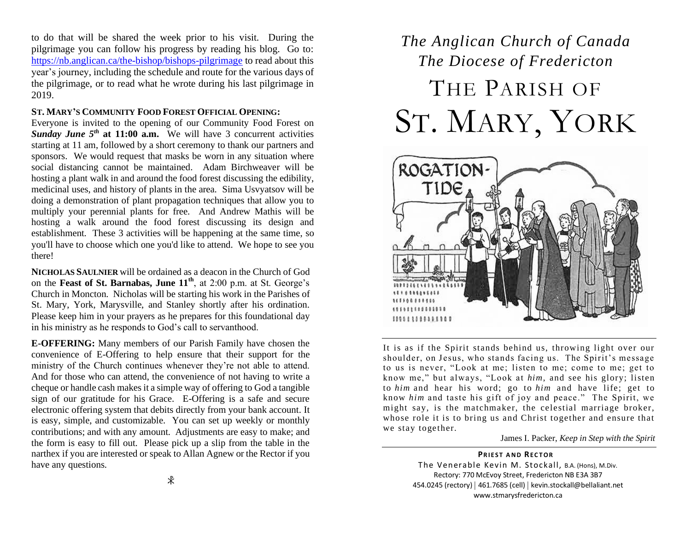to do that will be shared the week prior to his visit. During the pilgrimage you can follow his progress by reading his blog. Go to: <https://nb.anglican.ca/the-bishop/bishops-pilgrimage> to read about this year's journey, including the schedule and route for the various days of the pilgrimage, or to read what he wrote during his last pilgrimage in 2019.

#### **ST. MARY'S COMMUNITY FOOD FOREST OFFICIAL OPENING:**

Everyone is invited to the opening of our Community Food Forest on *Sunday June 5th* **at 11:00 a.m.** We will have 3 concurrent activities starting at 11 am, followed by a short ceremony to thank our partners and sponsors. We would request that masks be worn in any situation where social distancing cannot be maintained. Adam Birchweaver will be hosting a plant walk in and around the food forest discussing the edibility, medicinal uses, and history of plants in the area. Sima Usvyatsov will be doing a demonstration of plant propagation techniques that allow you to multiply your perennial plants for free. And Andrew Mathis will be hosting a walk around the food forest discussing its design and establishment. These 3 activities will be happening at the same time, so you'll have to choose which one you'd like to attend. We hope to see you there!

**NICHOLAS SAULNIER** will be ordained as a deacon in the Church of God on the **Feast of St. Barnabas, June 11th**, at 2:00 p.m. at St. George's Church in Moncton. Nicholas will be starting his work in the Parishes of St. Mary, York, Marysville, and Stanley shortly after his ordination. Please keep him in your prayers as he prepares for this foundational day in his ministry as he responds to God's call to servanthood.

**E-OFFERING:** Many members of our Parish Family have chosen the convenience of E-Offering to help ensure that their support for the ministry of the Church continues whenever they're not able to attend. And for those who can attend, the convenience of not having to write a cheque or handle cash makes it a simple way of offering to God a tangible sign of our gratitude for his Grace. E-Offering is a safe and secure electronic offering system that debits directly from your bank account. It is easy, simple, and customizable. You can set up weekly or monthly contributions; and with any amount. Adjustments are easy to make; and the form is easy to fill out. Please pick up a slip from the table in the narthex if you are interested or speak to Allan Agnew or the Rector if you have any questions.

## *The Anglican Church of Canada The Diocese of Fredericton* THE PARISH OF ST. MARY, YORK



It is as if the Spirit stands behind us, throwing light over our shoulder, on Jesus, who stands facing us. The Spirit's message to us is never, "Look at me; listen to me; come to me; get to know me," but always, "Look at *him*, and see his glory; listen to *him* and hear his word; go to *him* and have life; get to know *him* and taste his gift of joy and peace." The Spirit, we might say, is the matchmaker, the celestial marriage broker, whose role it is to bring us and Christ together and ensure that we stay together.

James I. Packer, *Keep in Step with the Spirit*

**PRIEST AND RECTOR** The Venerable Kevin M. Stockall, B.A. (Hons), M.Div. Rectory: 770 McEvoy Street, Fredericton NB E3A 3B7 454.0245 (rectory) | 461.7685 (cell) | kevin.stockall@bellaliant.net www.stmarysfredericton.ca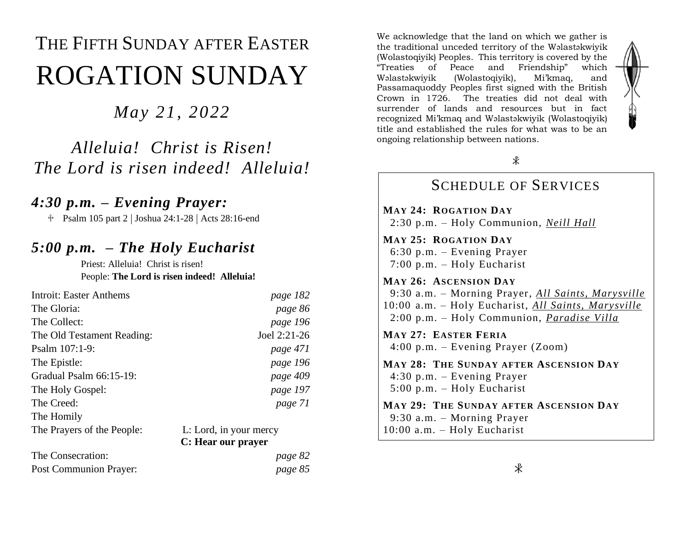# THE FIFTH SUNDAY AFTER EASTER ROGATION SUNDAY

*May 21, 2022*

*Alleluia! Christ is Risen! The Lord is risen indeed! Alleluia!*

#### *4:30 p.m. – Evening Prayer:*

Psalm 105 part 2 | Joshua 24:1-28 | Acts 28:16-end

#### *5:00 p.m. – The Holy Eucharist*

Priest: Alleluia! Christ is risen! People: **The Lord is risen indeed! Alleluia!**

| <b>Introit: Easter Anthems</b> | page 182                                     |
|--------------------------------|----------------------------------------------|
| The Gloria:                    | page 86                                      |
| The Collect:                   | page 196                                     |
| The Old Testament Reading:     | Joel 2:21-26                                 |
| Psalm $107:1-9$ :              | page 471                                     |
| The Epistle:                   | page 196                                     |
| Gradual Psalm $66:15-19$ :     | page 409                                     |
| The Holy Gospel:               | page 197                                     |
| The Creed:                     | page 71                                      |
| The Homily                     |                                              |
| The Prayers of the People:     | L: Lord, in your mercy<br>C: Hear our prayer |

| The Consecration:      | page 82 |
|------------------------|---------|
| Post Communion Prayer: | page 85 |

We acknowledge that the land on which we gather is the traditional unceded territory of the Wəlastəkwiyik (Wolastoqiyik) Peoples. This territory is covered by the "Treaties of Peace and Friendship" which Wəlastəkwiyik (Wolastoqiyik), Mi'kmaq, and Passamaquoddy Peoples first signed with the British Crown in 1726. The treaties did not deal with surrender of lands and resources but in fact recognized Mi'kmaq and Wəlastəkwiyik (Wolastoqiyik) title and established the rules for what was to be an ongoing relationship between nations.



#### SCHEDULE OF SERVICES

**MAY 24: ROGATION DAY** 2:30 p.m. – Holy Communion, *Neill Hall*

**MAY 25: ROGATION DAY** 6:30 p.m. – Evening Prayer 7:00 p.m. – Holy Eucharist

**MAY 26: ASCENSION DAY** 9:30 a.m. – Morning Prayer, *All Saints, Marysville* 10:00 a.m. – Holy Eucharist, *All Saints, Marysville* 2:00 p.m. – Holy Communion, *Paradise Villa*

**MAY 27: EASTER FERIA** 4:00 p.m. – Evening Prayer (Zoom)

**MAY 28: THE SUNDAY AFTER ASCENSION DAY** 4:30 p.m. – Evening Prayer 5:00 p.m. – Holy Eucharist

**MAY 29: THE SUNDAY AFTER ASCENSION DAY** 9:30 a.m. – Morning Prayer 10:00 a.m. – Holy Eucharist